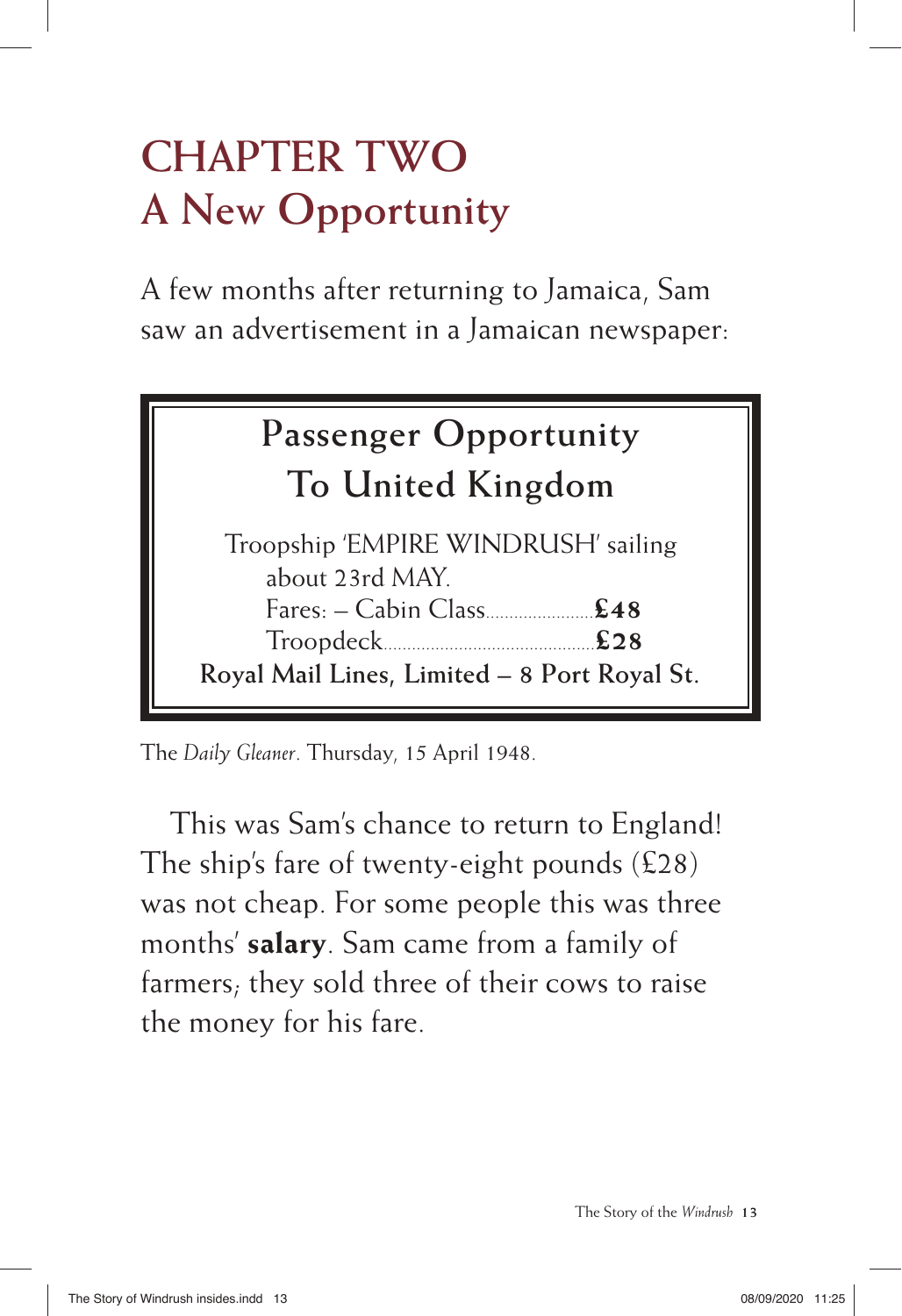## **CHAPTER TWO A New Opportunity**

A few months after returning to Jamaica, Sam saw an advertisement in a Jamaican newspaper:

## **Passenger Opportunity To United Kingdom**

| Troopship 'EMPIRE WINDRUSH' sailing          |  |
|----------------------------------------------|--|
| about 23rd MAY.                              |  |
|                                              |  |
|                                              |  |
| Royal Mail Lines, Limited – 8 Port Royal St. |  |

The *Daily Gleaner*. Thursday, 15 April 1948.

This was Sam's chance to return to England! The ship's fare of twenty-eight pounds (£28) was not cheap. For some people this was three months' **salary**. Sam came from a family of farmers; they sold three of their cows to raise the money for his fare.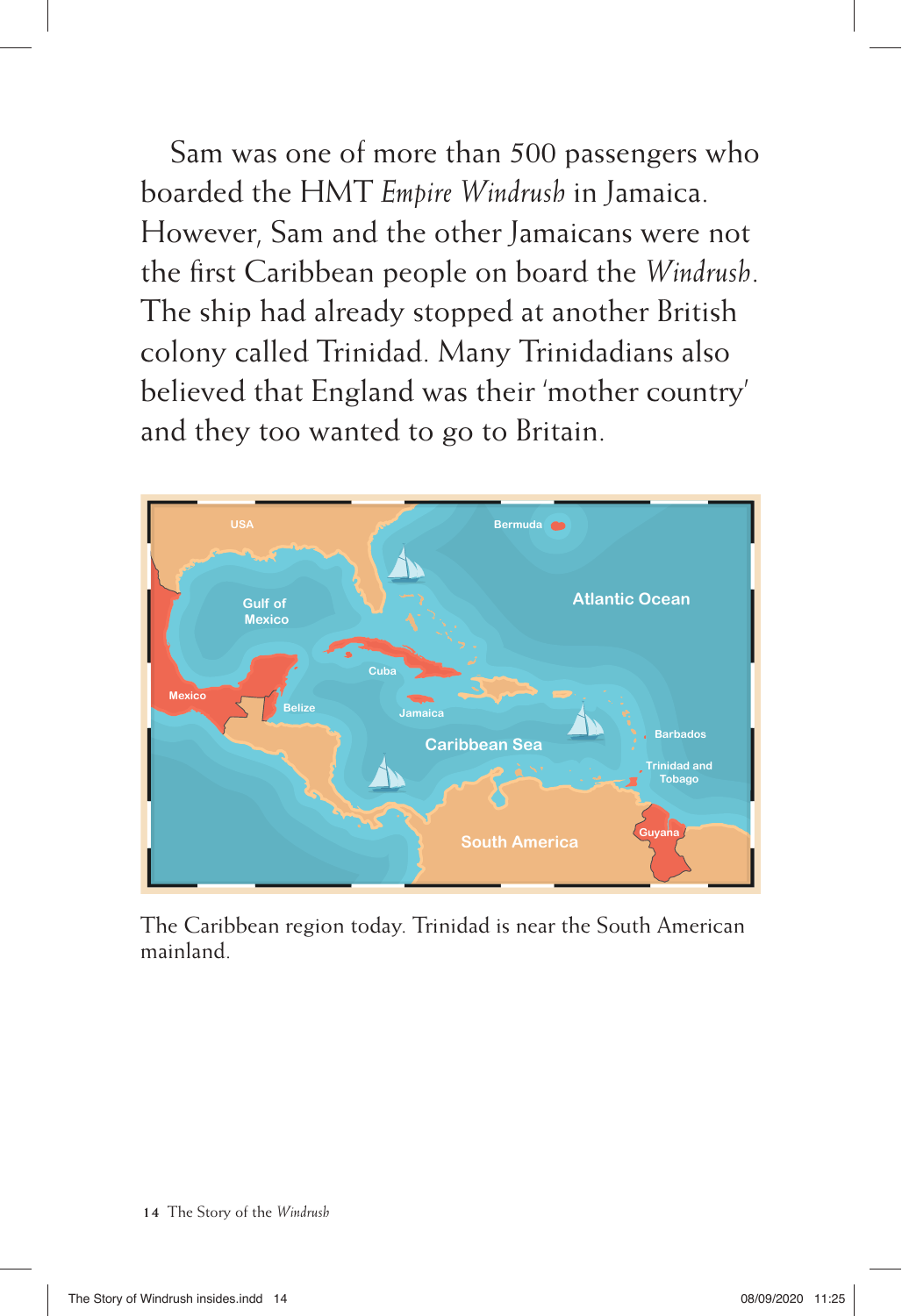Sam was one of more than 500 passengers who boarded the HMT *Empire Windrush* in Jamaica. However, Sam and the other Jamaicans were not the first Caribbean people on board the *Windrush*. The ship had already stopped at another British colony called Trinidad. Many Trinidadians also believed that England was their 'mother country' and they too wanted to go to Britain.



The Caribbean region today. Trinidad is near the South American mainland.

**14** The Story of the *Windrush*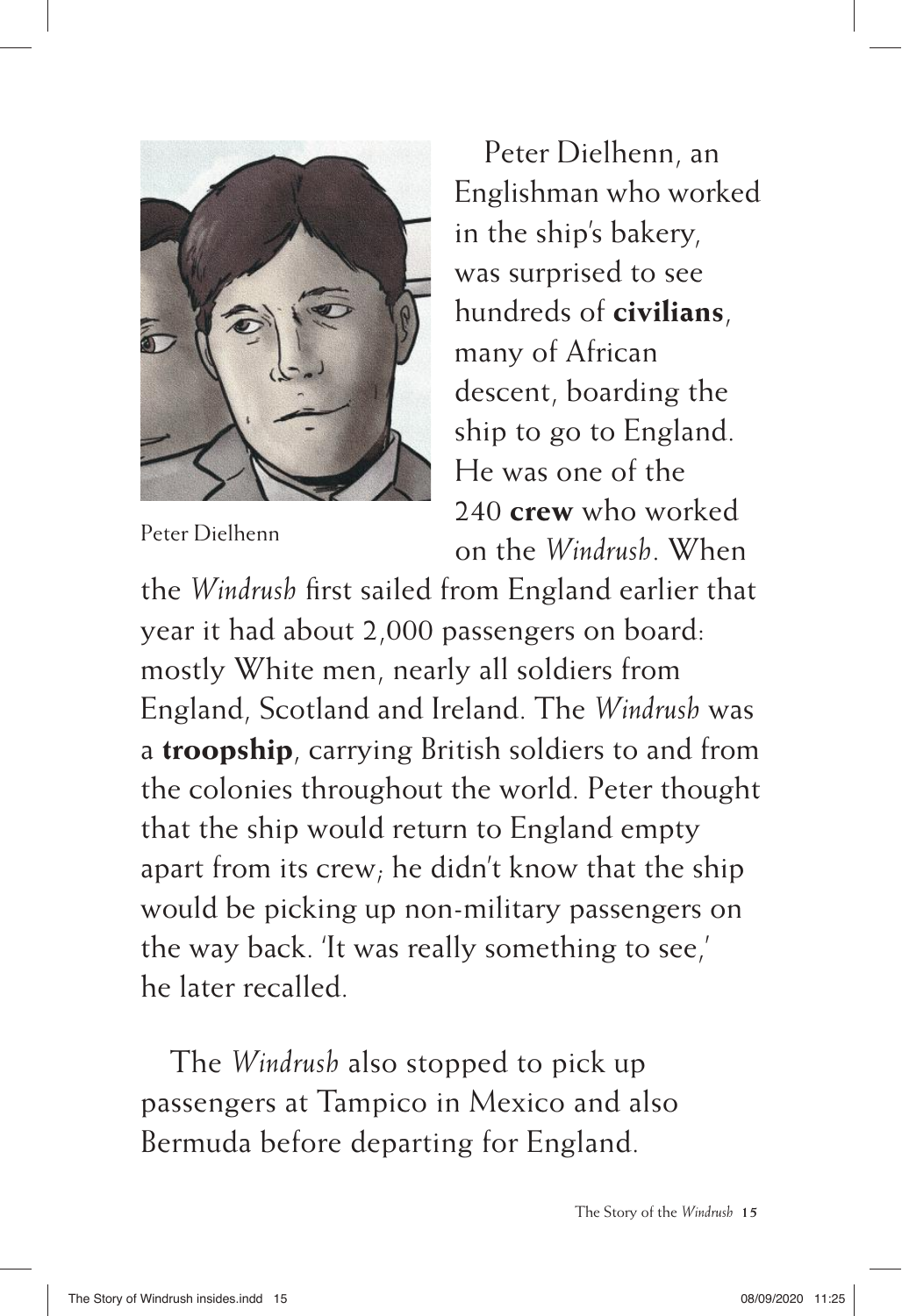

Peter Dielhenn

Peter Dielhenn, an Englishman who worked in the ship's bakery, was surprised to see hundreds of **civilians**, many of African descent, boarding the ship to go to England. He was one of the 240 **crew** who worked on the *Windrush*. When

the *Windrush* first sailed from England earlier that year it had about 2,000 passengers on board: mostly White men, nearly all soldiers from England, Scotland and Ireland. The *Windrush* was a **troopship**, carrying British soldiers to and from the colonies throughout the world. Peter thought that the ship would return to England empty apart from its crew; he didn't know that the ship would be picking up non-military passengers on the way back. 'It was really something to see,' he later recalled.

The *Windrush* also stopped to pick up passengers at Tampico in Mexico and also Bermuda before departing for England.

The Story of the *Windrush* **15**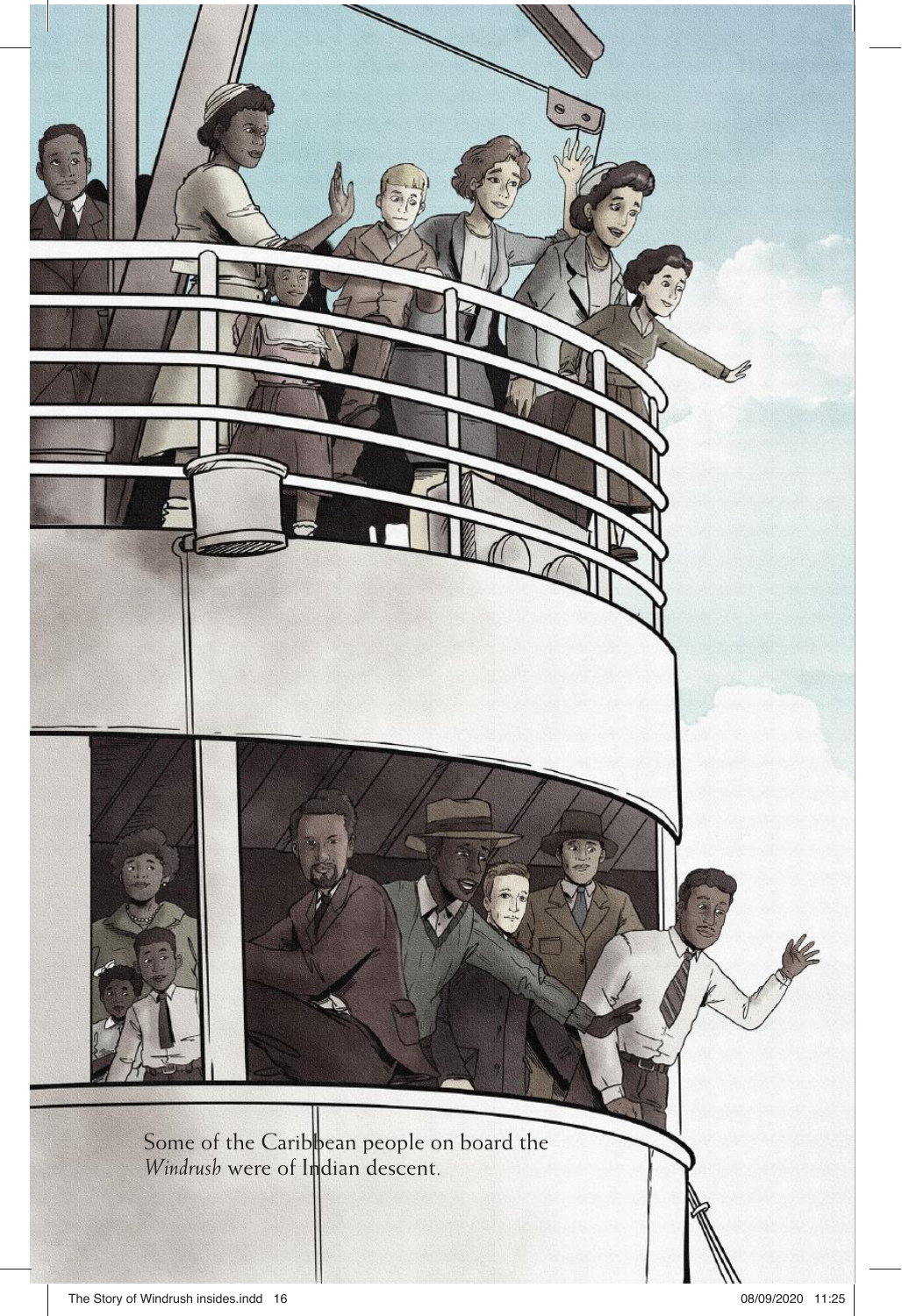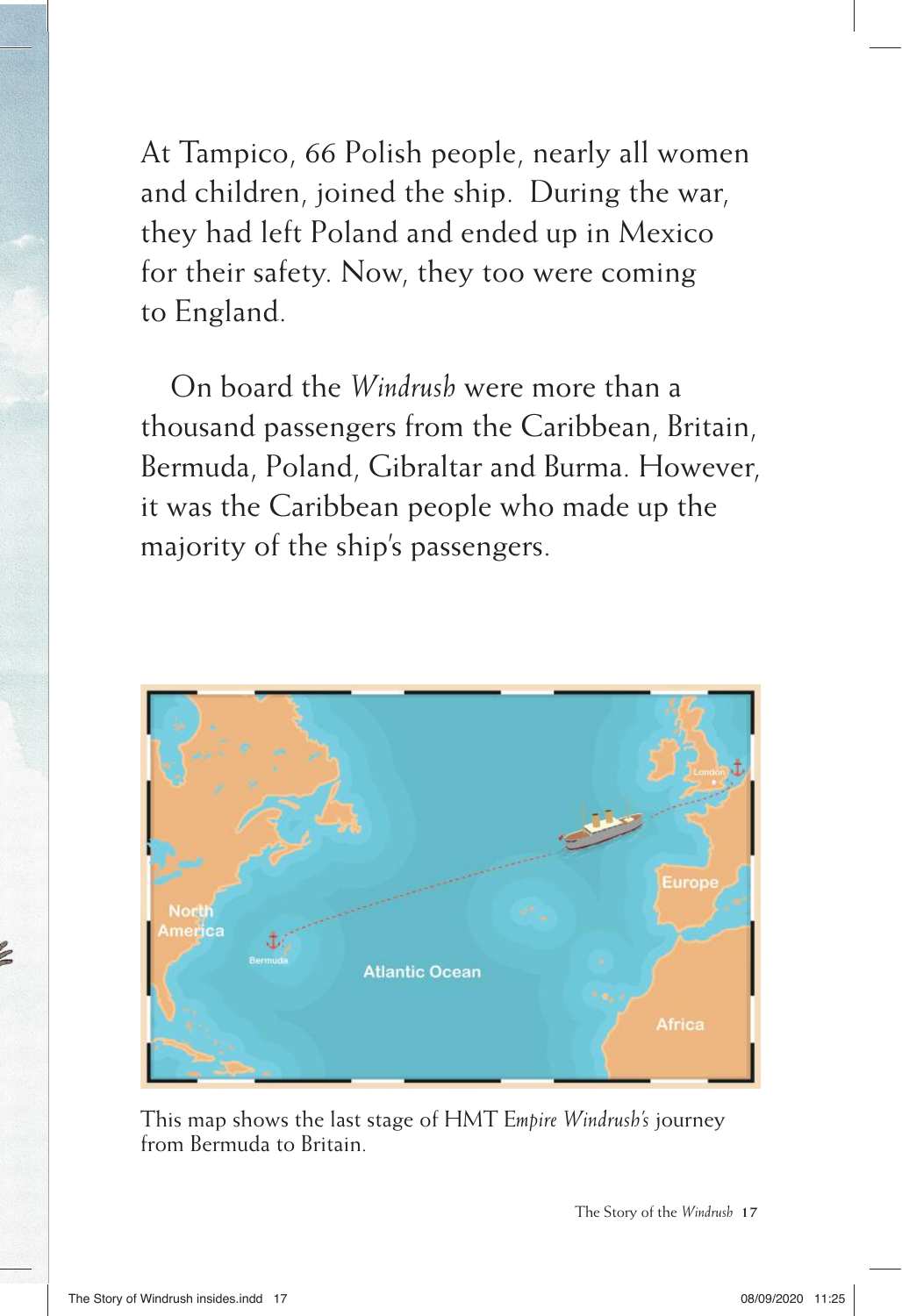At Tampico, 66 Polish people, nearly all women and children, joined the ship. During the war, they had left Poland and ended up in Mexico for their safety. Now, they too were coming to England.

On board the *Windrush* were more than a thousand passengers from the Caribbean, Britain, Bermuda, Poland, Gibraltar and Burma. However, it was the Caribbean people who made up the majority of the ship's passengers.



This map shows the last stage of HMT E*mpire Windrush's* journey from Bermuda to Britain.

The Story of the *Windrush* **17**